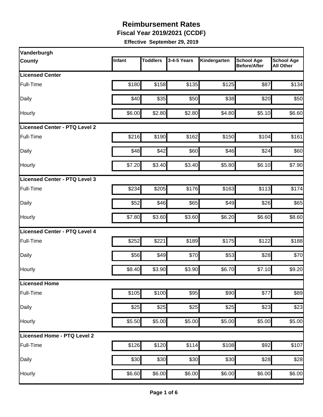**Fiscal Year 2019/2021 (CCDF)** 

| Vanderburgh                   |        |                 |             |              |                                          |                                       |
|-------------------------------|--------|-----------------|-------------|--------------|------------------------------------------|---------------------------------------|
| <b>County</b>                 | Infant | <b>Toddlers</b> | 3-4-5 Years | Kindergarten | <b>School Age</b><br><b>Before/After</b> | <b>School Age</b><br><b>All Other</b> |
| <b>Licensed Center</b>        |        |                 |             |              |                                          |                                       |
| Full-Time                     | \$180  | \$158           | \$135       | \$125        | \$87                                     | \$134                                 |
| Daily                         | \$40   | \$35            | \$50        | \$38         | \$20                                     | \$50                                  |
| Hourly                        | \$6.00 | \$2.80          | \$2.80      | \$4.80       | \$5.10                                   | \$6.60                                |
| Licensed Center - PTQ Level 2 |        |                 |             |              |                                          |                                       |
| Full-Time                     | \$216  | \$190           | \$162       | \$150        | \$104                                    | \$161                                 |
| Daily                         | \$48   | \$42            | \$60        | \$46         | \$24                                     | \$60                                  |
| Hourly                        | \$7.20 | \$3.40          | \$3.40      | \$5.80       | \$6.10                                   | \$7.90                                |
| Licensed Center - PTQ Level 3 |        |                 |             |              |                                          |                                       |
| Full-Time                     | \$234  | \$205           | \$176       | \$163        | \$113                                    | \$174                                 |
| Daily                         | \$52   | \$46            | \$65        | \$49         | \$26                                     | \$65                                  |
| Hourly                        | \$7.80 | \$3.60          | \$3.60      | \$6.20       | \$6.60                                   | \$8.60                                |
| Licensed Center - PTQ Level 4 |        |                 |             |              |                                          |                                       |
| <b>Full-Time</b>              | \$252  | \$221           | \$189       | \$175        | \$122                                    | \$188                                 |
| Daily                         | \$56   | \$49            | \$70        | \$53         | \$28                                     | \$70                                  |
| Hourly                        | \$8.40 | \$3.90          | \$3.90      | \$6.70       | \$7.10                                   | \$9.20                                |
| Licensed Home                 |        |                 |             |              |                                          |                                       |
| Full-Time                     | \$105  | \$100           | \$95        | \$90         | \$77                                     | \$89                                  |
| Daily                         | \$25   | \$25            | \$25        | \$25         | \$23                                     | \$23                                  |
| Hourly                        | \$5.50 | \$5.00          | \$5.00      | \$5.00       | \$5.00                                   | \$5.00                                |
| Licensed Home - PTQ Level 2   |        |                 |             |              |                                          |                                       |
| Full-Time                     | \$126  | \$120           | \$114       | \$108        | $\overline{$92}$                         | \$107                                 |
| Daily                         | \$30   | \$30            | \$30        | \$30         | $\overline{$}28$                         | \$28                                  |
| Hourly                        | \$6.60 | \$6.00          | \$6.00      | \$6.00       | \$6.00                                   | \$6.00                                |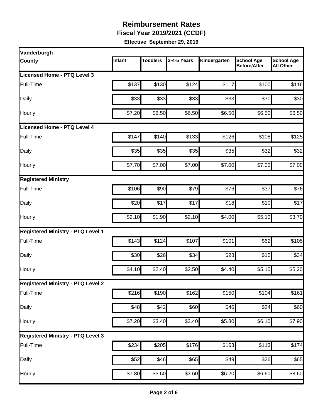**Fiscal Year 2019/2021 (CCDF)** 

| Vanderburgh                              |                   |                 |                    |              |                                          |                                       |
|------------------------------------------|-------------------|-----------------|--------------------|--------------|------------------------------------------|---------------------------------------|
| <b>County</b>                            | Infant            | <b>Toddlers</b> | 3-4-5 Years        | Kindergarten | <b>School Age</b><br><b>Before/After</b> | <b>School Age</b><br><b>All Other</b> |
| Licensed Home - PTQ Level 3              |                   |                 |                    |              |                                          |                                       |
| Full-Time                                | \$137             | \$130           | \$124              | \$117        | \$100                                    | \$116                                 |
| Daily                                    | \$33              | \$33            | \$33               | \$33         | \$30                                     | \$30                                  |
| Hourly                                   | \$7.20            | \$6.50          | \$6.50             | \$6.50       | \$6.50                                   | \$6.50                                |
| <b>Licensed Home - PTQ Level 4</b>       |                   |                 |                    |              |                                          |                                       |
| Full-Time                                | \$147             | \$140           | \$133              | \$126        | \$108                                    | \$125                                 |
| Daily                                    | \$35              | \$35            | \$35               | \$35         | \$32                                     | \$32                                  |
| Hourly                                   | \$7.70            | \$7.00          | \$7.00             | \$7.00       | \$7.00                                   | \$7.00                                |
| <b>Registered Ministry</b>               |                   |                 |                    |              |                                          |                                       |
| Full-Time                                | \$106             | \$90            | \$79               | \$76         | \$37                                     | \$76                                  |
| Daily                                    | \$20              | \$17            | \$17               | \$18         | \$10                                     | \$17                                  |
| Hourly                                   | \$2.10            | \$1.90          | \$2.10             | \$4.00       | \$5.10                                   | \$3.70                                |
| <b>Registered Ministry - PTQ Level 1</b> |                   |                 |                    |              |                                          |                                       |
| Full-Time                                | \$143             | \$124           | \$107              | \$101        | \$62                                     | \$105                                 |
| Daily                                    | \$30              | \$26            | \$34               | \$28         | \$15                                     | \$34                                  |
| Hourly                                   | \$4.10            | \$2.40          | \$2.50             | \$4.40       | \$5.10                                   | \$5.20                                |
| <b>Registered Ministry - PTQ Level 2</b> |                   |                 |                    |              |                                          |                                       |
| Full-Time                                | $\overline{$}216$ | \$190           | \$162              | \$150        | \$104                                    | \$161                                 |
| Daily                                    | \$48              | \$42]           | \$60               | \$46         | \$24                                     | \$60                                  |
| Hourly                                   | \$7.20            | \$3.40          | \$3.40             | \$5.80       | \$6.10                                   | \$7.90                                |
| <b>Registered Ministry - PTQ Level 3</b> |                   |                 |                    |              |                                          |                                       |
| Full-Time                                | \$234             | \$205           | \$176              | \$163        | \$113                                    | \$174                                 |
| Daily                                    | \$52              | \$46            | $\overline{$65}$   | \$49         | \$26                                     | \$65                                  |
| Hourly                                   | \$7.80            | \$3.60          | $\overline{$}3.60$ | \$6.20       | \$6.60                                   | \$8.60                                |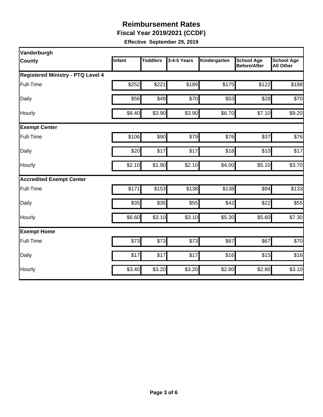**Fiscal Year 2019/2021 (CCDF)** 

| Vanderburgh                              |        |                 |             |              |                                          |                                       |  |
|------------------------------------------|--------|-----------------|-------------|--------------|------------------------------------------|---------------------------------------|--|
| <b>County</b>                            | Infant | <b>Toddlers</b> | 3-4-5 Years | Kindergarten | <b>School Age</b><br><b>Before/After</b> | <b>School Age</b><br><b>All Other</b> |  |
| <b>Registered Ministry - PTQ Level 4</b> |        |                 |             |              |                                          |                                       |  |
| Full-Time                                | \$252  | \$221           | \$189       | \$175        | \$122                                    | \$188                                 |  |
| Daily                                    | \$56   | \$49            | \$70        | \$53         | \$28                                     | \$70                                  |  |
| Hourly                                   | \$8.40 | \$3.90          | \$3.90      | \$6.70       | \$7.10                                   | \$9.20                                |  |
| <b>Exempt Center</b>                     |        |                 |             |              |                                          |                                       |  |
| Full-Time                                | \$106  | \$90            | \$79        | \$76         | \$37                                     | \$76                                  |  |
| Daily                                    | \$20   | \$17            | \$17        | \$18         | \$10                                     | \$17                                  |  |
| Hourly                                   | \$2.10 | \$1.90          | \$2.10      | \$4.00       | \$5.10                                   | \$3.70                                |  |
| <b>Accredited Exempt Center</b>          |        |                 |             |              |                                          |                                       |  |
| Full-Time                                | \$171  | \$153           | \$138       | \$138        | \$94                                     | \$133                                 |  |
| Daily                                    | \$35   | \$35            | \$55        | \$42         | \$22                                     | \$55                                  |  |
| Hourly                                   | \$6.60 | \$3.10          | \$3.10      | \$5.30       | \$5.60                                   | \$7.30                                |  |
| <b>Exempt Home</b>                       |        |                 |             |              |                                          |                                       |  |
| Full-Time                                | \$73   | \$73            | \$73        | \$67         | \$67                                     | \$70                                  |  |
| Daily                                    | \$17   | \$17            | \$17        | \$16         | \$15                                     | \$16                                  |  |
| Hourly                                   | \$3.40 | \$3.20          | \$3.20      | \$2.80       | \$2.80                                   | \$3.10                                |  |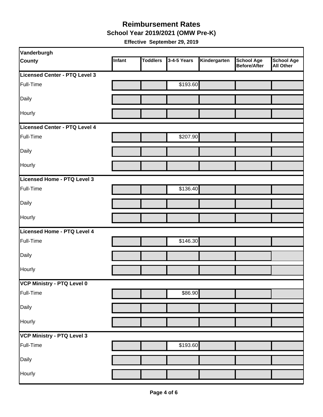#### **Reimbursement Rates School Year 2019/2021 (OMW Pre-K)**

| Infant<br><b>Toddlers</b><br>3-4-5 Years<br>Kindergarten<br><b>School Age</b><br><b>County</b><br><b>Before/After</b> | <b>School Age</b> |
|-----------------------------------------------------------------------------------------------------------------------|-------------------|
|                                                                                                                       | <b>All Other</b>  |
| Licensed Center - PTQ Level 3                                                                                         |                   |
| Full-Time<br>\$193.60                                                                                                 |                   |
| Daily                                                                                                                 |                   |
| Hourly                                                                                                                |                   |
| Licensed Center - PTQ Level 4                                                                                         |                   |
| \$207.90<br>Full-Time                                                                                                 |                   |
| Daily                                                                                                                 |                   |
| Hourly                                                                                                                |                   |
| Licensed Home - PTQ Level 3                                                                                           |                   |
| \$136.40<br>Full-Time                                                                                                 |                   |
| Daily                                                                                                                 |                   |
| Hourly                                                                                                                |                   |
| Licensed Home - PTQ Level 4                                                                                           |                   |
| \$146.30<br>Full-Time                                                                                                 |                   |
| Daily                                                                                                                 |                   |
| Hourly                                                                                                                |                   |
| VCP Ministry - PTQ Level 0                                                                                            |                   |
| \$86.90<br>Full-Time                                                                                                  |                   |
| Daily                                                                                                                 |                   |
| Hourly                                                                                                                |                   |
| VCP Ministry - PTQ Level 3                                                                                            |                   |
| \$193.60<br>Full-Time                                                                                                 |                   |
| Daily                                                                                                                 |                   |
| Hourly                                                                                                                |                   |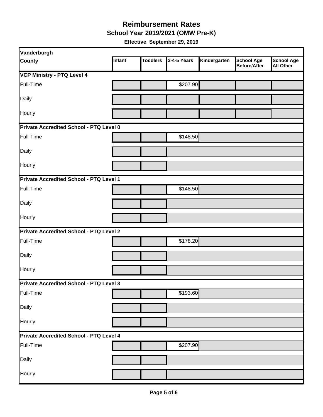**School Year 2019/2021 (OMW Pre-K)** 

| Vanderburgh                                    |        |                 |             |              |                                   |                                       |  |
|------------------------------------------------|--------|-----------------|-------------|--------------|-----------------------------------|---------------------------------------|--|
| <b>County</b>                                  | Infant | <b>Toddlers</b> | 3-4-5 Years | Kindergarten | <b>School Age</b><br>Before/After | <b>School Age</b><br><b>All Other</b> |  |
| <b>VCP Ministry - PTQ Level 4</b>              |        |                 |             |              |                                   |                                       |  |
| Full-Time                                      |        |                 | \$207.90    |              |                                   |                                       |  |
| Daily                                          |        |                 |             |              |                                   |                                       |  |
| Hourly                                         |        |                 |             |              |                                   |                                       |  |
| <b>Private Accredited School - PTQ Level 0</b> |        |                 |             |              |                                   |                                       |  |
| Full-Time                                      |        |                 | \$148.50    |              |                                   |                                       |  |
| Daily                                          |        |                 |             |              |                                   |                                       |  |
| Hourly                                         |        |                 |             |              |                                   |                                       |  |
| Private Accredited School - PTQ Level 1        |        |                 |             |              |                                   |                                       |  |
| Full-Time                                      |        |                 | \$148.50    |              |                                   |                                       |  |
| Daily                                          |        |                 |             |              |                                   |                                       |  |
| Hourly                                         |        |                 |             |              |                                   |                                       |  |
| <b>Private Accredited School - PTQ Level 2</b> |        |                 |             |              |                                   |                                       |  |
| Full-Time                                      |        |                 | \$178.20    |              |                                   |                                       |  |
| Daily                                          |        |                 |             |              |                                   |                                       |  |
| Hourly                                         |        |                 |             |              |                                   |                                       |  |
| <b>Private Accredited School - PTQ Level 3</b> |        |                 |             |              |                                   |                                       |  |
| Full-Time                                      |        |                 | \$193.60    |              |                                   |                                       |  |
| Daily                                          |        |                 |             |              |                                   |                                       |  |
| Hourly                                         |        |                 |             |              |                                   |                                       |  |
| Private Accredited School - PTQ Level 4        |        |                 |             |              |                                   |                                       |  |
| Full-Time                                      |        |                 | \$207.90    |              |                                   |                                       |  |
| Daily                                          |        |                 |             |              |                                   |                                       |  |
| Hourly                                         |        |                 |             |              |                                   |                                       |  |